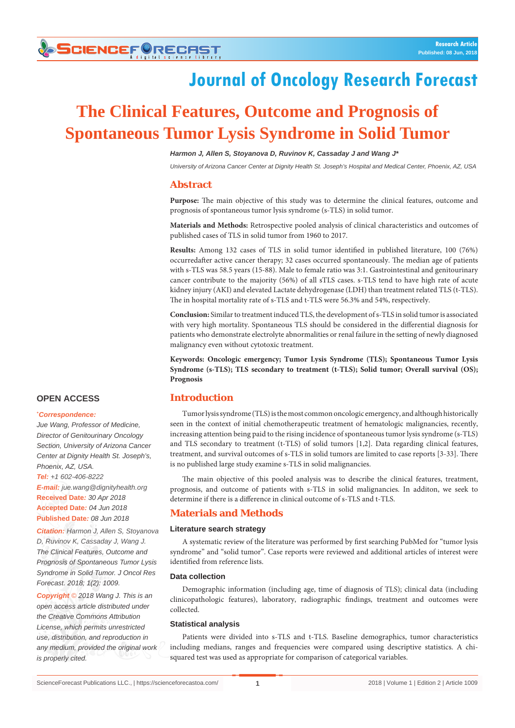# **SCIENCEFORECHST**

## **Journal of Oncology Research Forecast**

## **The Clinical Features, Outcome and Prognosis of Spontaneous Tumor Lysis Syndrome in Solid Tumor**

*Harmon J, Allen S, Stoyanova D, Ruvinov K, Cassaday J and Wang J\**

*University of Arizona Cancer Center at Dignity Health St. Joseph's Hospital and Medical Center, Phoenix, AZ, USA* 

### **Abstract**

**Purpose:** The main objective of this study was to determine the clinical features, outcome and prognosis of spontaneous tumor lysis syndrome (s-TLS) in solid tumor.

**Materials and Methods:** Retrospective pooled analysis of clinical characteristics and outcomes of published cases of TLS in solid tumor from 1960 to 2017.

**Results:** Among 132 cases of TLS in solid tumor identified in published literature, 100 (76%) occurredafter active cancer therapy; 32 cases occurred spontaneously. The median age of patients with s-TLS was 58.5 years (15-88). Male to female ratio was 3:1. Gastrointestinal and genitourinary cancer contribute to the majority (56%) of all sTLS cases. s-TLS tend to have high rate of acute kidney injury (AKI) and elevated Lactate dehydrogenase (LDH) than treatment related TLS (t-TLS). The in hospital mortality rate of s-TLS and t-TLS were 56.3% and 54%, respectively.

**Conclusion:** Similar to treatment induced TLS, the development of s-TLS in solid tumor is associated with very high mortality. Spontaneous TLS should be considered in the differential diagnosis for patients who demonstrate electrolyte abnormalities or renal failure in the setting of newly diagnosed malignancy even without cytotoxic treatment.

**Keywords: Oncologic emergency; Tumor Lysis Syndrome (TLS); Spontaneous Tumor Lysis Syndrome (s-TLS); TLS secondary to treatment (t-TLS); Solid tumor; Overall survival (OS); Prognosis**

### **Introduction**

Tumor lysis syndrome (TLS) is the most common oncologic emergency, and although historically seen in the context of initial chemotherapeutic treatment of hematologic malignancies, recently, increasing attention being paid to the rising incidence of spontaneous tumor lysis syndrome (s-TLS) and TLS secondary to treatment (t-TLS) of solid tumors [1,2]. Data regarding clinical features, treatment, and survival outcomes of s-TLS in solid tumors are limited to case reports [3-33]. There is no published large study examine s-TLS in solid malignancies.

The main objective of this pooled analysis was to describe the clinical features, treatment, prognosis, and outcome of patients with s-TLS in solid malignancies. In additon, we seek to determine if there is a difference in clinical outcome of s-TLS and t-TLS.

### **Materials and Methods**

### **Literature search strategy**

A systematic review of the literature was performed by first searching PubMed for "tumor lysis syndrome" and "solid tumor". Case reports were reviewed and additional articles of interest were identified from reference lists.

#### **Data collection**

Demographic information (including age, time of diagnosis of TLS); clinical data (including clinicopathologic features), laboratory, radiographic findings, treatment and outcomes were collected.

### **Statistical analysis**

Patients were divided into s-TLS and t-TLS. Baseline demographics, tumor characteristics including medians, ranges and frequencies were compared using descriptive statistics. A chisquared test was used as appropriate for comparison of categorical variables.

### **OPEN ACCESS**

### **\*** *Correspondence:*

*Jue Wang, Professor of Medicine, Director of Genitourinary Oncology Section, University of Arizona Cancer Center at Dignity Health St. Joseph's, Phoenix, AZ, USA. Tel: +1 602-406-8222 E-mail: jue.wang@dignityhealth.org* **Received Date***: 30 Apr 2018* **Accepted Date***: 04 Jun 2018* **Published Date***: 08 Jun 2018*

*Citation: Harmon J, Allen S, Stoyanova D, Ruvinov K, Cassaday J, Wang J. The Clinical Features, Outcome and Prognosis of Spontaneous Tumor Lysis Syndrome in Solid Tumor. J Oncol Res Forecast. 2018; 1(2): 1009.*

*Copyright © 2018 Wang J. This is an open access article distributed under the Creative Commons Attribution License, which permits unrestricted use, distribution, and reproduction in any medium, provided the original work is properly cited.*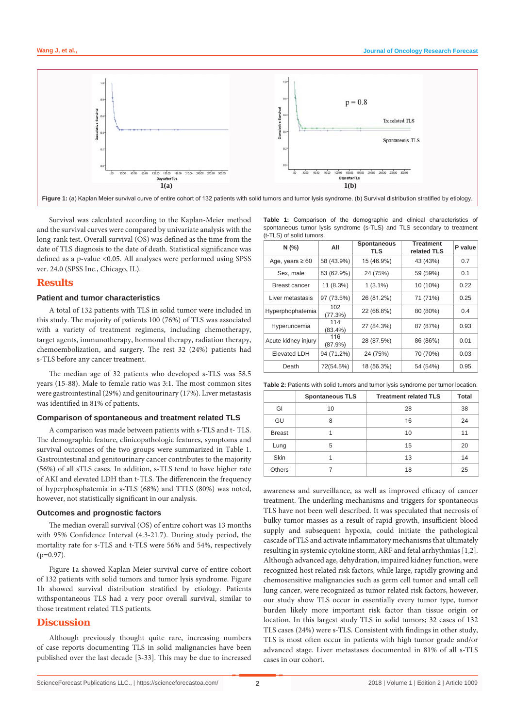

Survival was calculated according to the Kaplan-Meier method and the survival curves were compared by univariate analysis with the long-rank test. Overall survival (OS) was defined as the time from the date of TLS diagnosis to the date of death. Statistical significance was defined as a p-value <0.05. All analyses were performed using SPSS ver. 24.0 (SPSS Inc., Chicago, IL).

### **Results**

### **Patient and tumor characteristics**

A total of 132 patients with TLS in solid tumor were included in this study. The majority of patients 100 (76%) of TLS was associated with a variety of treatment regimens, including chemotherapy, target agents, immunotherapy, hormonal therapy, radiation therapy, chemoembolization, and surgery. The rest 32 (24%) patients had s-TLS before any cancer treatment.

The median age of 32 patients who developed s-TLS was 58.5 years (15-88). Male to female ratio was 3:1. The most common sites were gastrointestinal (29%) and genitourinary (17%). Liver metastasis was identified in 81% of patients.

### **Comparison of spontaneous and treatment related TLS**

A comparison was made between patients with s-TLS and t- TLS. The demographic feature, clinicopathologic features, symptoms and survival outcomes of the two groups were summarized in Table 1. Gastrointestinal and genitourinary cancer contributes to the majority (56%) of all sTLS cases. In addition, s-TLS tend to have higher rate of AKI and elevated LDH than t-TLS. The differencein the frequency of hyperphosphatemia in s-TLS (68%) and TTLS (80%) was noted, however, not statistically significant in our analysis.

### **Outcomes and prognostic factors**

The median overall survival (OS) of entire cohort was 13 months with 95% Confidence Interval (4.3-21.7). During study period, the mortality rate for s-TLS and t-TLS were 56% and 54%, respectively  $(p=0.97)$ .

Figure 1a showed Kaplan Meier survival curve of entire cohort of 132 patients with solid tumors and tumor lysis syndrome. Figure 1b showed survival distribution stratified by etiology. Patients withspontaneous TLS had a very poor overall survival, similar to those treatment related TLS patients.

### **Discussion**

Although previously thought quite rare, increasing numbers of case reports documenting TLS in solid malignancies have been published over the last decade [3-33]. This may be due to increased

**Table 1:** Comparison of the demographic and clinical characteristics of spontaneous tumor lysis syndrome (s-TLS) and TLS secondary to treatment (t-TLS) of solid tumors.

| N(%)                 | All               | <b>Spontaneous</b><br>TLS | <b>Treatment</b><br>related TLS | P value |
|----------------------|-------------------|---------------------------|---------------------------------|---------|
| Age, years $\geq 60$ | 58 (43.9%)        | 15 (46.9%)                | 43 (43%)                        | 0.7     |
| Sex, male            | 83 (62.9%)        | 24 (75%)                  | 59 (59%)                        | 0.1     |
| <b>Breast cancer</b> | 11 (8.3%)         | $1(3.1\%)$                | 10 (10%)                        | 0.22    |
| Liver metastasis     | 97 (73.5%)        | 26 (81.2%)                | 71 (71%)                        | 0.25    |
| Hyperphophatemia     | 102<br>(77.3%)    | 22 (68.8%)                | 80 (80%)                        | 0.4     |
| Hyperuricemia        | 114<br>$(83.4\%)$ | 27 (84.3%)                | 87 (87%)                        | 0.93    |
| Acute kidney injury  | 116<br>(87.9%)    | 28 (87.5%)                | 86 (86%)                        | 0.01    |
| <b>Elevated LDH</b>  | 94 (71.2%)        | 24 (75%)                  | 70 (70%)                        | 0.03    |
| Death                | 72(54.5%)         | 18 (56.3%)                | 54 (54%)                        | 0.95    |

**Table 2:** Patients with solid tumors and tumor lysis syndrome per tumor location.

|               | <b>Spontaneous TLS</b> | <b>Treatment related TLS</b> | Total |
|---------------|------------------------|------------------------------|-------|
| GI            | 10                     | 28                           | 38    |
| GU            | 8                      | 16                           | 24    |
| <b>Breast</b> |                        | 10                           | 11    |
| Lung          | 5                      | 15                           | 20    |
| <b>Skin</b>   |                        | 13                           | 14    |
| <b>Others</b> |                        | 18                           | 25    |

awareness and surveillance, as well as improved efficacy of cancer treatment. The underling mechanisms and triggers for spontaneous TLS have not been well described. It was speculated that necrosis of bulky tumor masses as a result of rapid growth, insufficient blood supply and subsequent hypoxia, could initiate the pathological cascade of TLS and activate inflammatory mechanisms that ultimately resulting in systemic cytokine storm, ARF and fetal arrhythmias [1,2]. Although advanced age, dehydration, impaired kidney function, were recognized host related risk factors, while large, rapidly growing and chemosensitive malignancies such as germ cell tumor and small cell lung cancer, were recognized as tumor related risk factors, however, our study show TLS occur in essentially every tumor type, tumor burden likely more important risk factor than tissue origin or location. In this largest study TLS in solid tumors; 32 cases of 132 TLS cases (24%) were s-TLS. Consistent with findings in other study, TLS is most often occur in patients with high tumor grade and/or advanced stage. Liver metastases documented in 81% of all s-TLS cases in our cohort.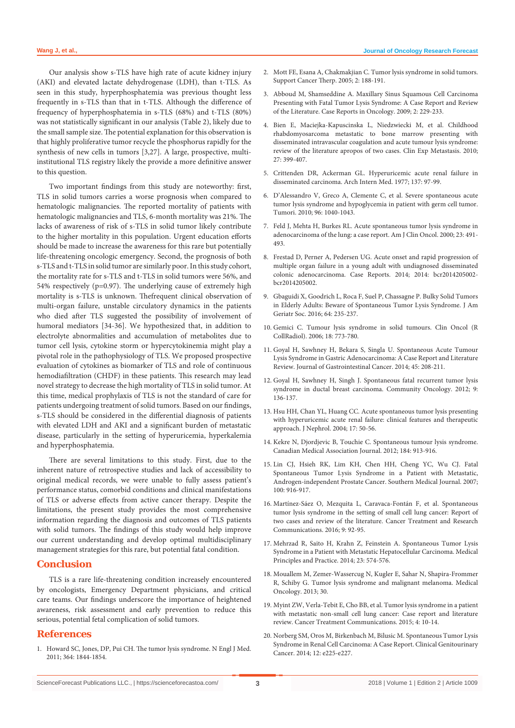Our analysis show s-TLS have high rate of acute kidney injury (AKI) and elevated lactate dehydrogenase (LDH), than t-TLS. As seen in this study, hyperphosphatemia was previous thought less frequently in s-TLS than that in t-TLS. Although the difference of frequency of hyperphosphatemia in s-TLS (68%) and t-TLS (80%) was not statistically significant in our analysis (Table 2), likely due to the small sample size. The potential explanation for this observation is that highly proliferative tumor recycle the phosphorus rapidly for the synthesis of new cells in tumors [3,27]. A large, prospective, multiinstitutional TLS registry likely the provide a more definitive answer to this question.

Two important findings from this study are noteworthy: first, TLS in solid tumors carries a worse prognosis when compared to hematologic malignancies. The reported mortality of patients with hematologic malignancies and TLS, 6-month mortality was 21%. The lacks of awareness of risk of s-TLS in solid tumor likely contribute to the higher mortality in this population. Urgent education efforts should be made to increase the awareness for this rare but potentially life-threatening oncologic emergency. Second, the prognosis of both s-TLS and t-TLS in solid tumor are similarly poor. In this study cohort, the mortality rate for s-TLS and t-TLS in solid tumors were 56%, and 54% respectively (p=0.97). The underlying cause of extremely high mortality is s-TLS is unknown. Thefrequent clinical observation of multi-organ failure, unstable circulatory dynamics in the patients who died after TLS suggested the possibility of involvement of humoral mediators [34-36]. We hypothesized that, in addition to electrolyte abnormalities and accumulation of metabolites due to tumor cell lysis, cytokine storm or hypercytokinemia might play a pivotal role in the pathophysiology of TLS. We proposed prospective evaluation of cytokines as biomarker of TLS and role of continuous hemodiafiltration (CHDF) in these patients. This research may lead novel strategy to decrease the high mortality of TLS in solid tumor. At this time, medical prophylaxis of TLS is not the standard of care for patients undergoing treatment of solid tumors. Based on our findings, s-TLS should be considered in the differential diagnosis of patients with elevated LDH and AKI and a significant burden of metastatic disease, particularly in the setting of hyperuricemia, hyperkalemia and hyperphosphatemia.

There are several limitations to this study. First, due to the inherent nature of retrospective studies and lack of accessibility to original medical records, we were unable to fully assess patient's performance status, comorbid conditions and clinical manifestations of TLS or adverse effects from active cancer therapy. Despite the limitations, the present study provides the most comprehensive information regarding the diagnosis and outcomes of TLS patients with solid tumors. The findings of this study would help improve our current understanding and develop optimal multidisciplinary management strategies for this rare, but potential fatal condition.

### **Conclusion**

TLS is a rare life-threatening condition increasely encountered by oncologists, Emergency Department physicians, and critical care teams. Our findings underscore the importance of heightened awareness, risk assessment and early prevention to reduce this serious, potential fetal complication of solid tumors.

### **References**

1. [Howard SC, Jones, DP, Pui CH. The tumor lysis syndrome. N Engl J Med.](https://www.ncbi.nlm.nih.gov/pubmed/21561350)  [2011; 364: 1844-1854.](https://www.ncbi.nlm.nih.gov/pubmed/21561350)

- 2. [Mott FE, Esana A, Chakmakjian C. Tumor lysis syndrome in solid tumors.](https://www.ncbi.nlm.nih.gov/pubmed/18628171)  [Support Cancer Therp. 2005; 2: 188-191.](https://www.ncbi.nlm.nih.gov/pubmed/18628171)
- 3. [Abboud M, Shamseddine A. Maxillary Sinus Squamous Cell Carcinoma](https://www.ncbi.nlm.nih.gov/pmc/articles/PMC2914387/)  [Presenting with Fatal Tumor Lysis Syndrome: A Case Report and Review](https://www.ncbi.nlm.nih.gov/pmc/articles/PMC2914387/)  [of the Literature. Case Reports in Oncology. 2009; 2: 229-233.](https://www.ncbi.nlm.nih.gov/pmc/articles/PMC2914387/)
- 4. [Bien E, Maciejka-Kapuscinska L, Niedzwiecki M, et al. Childhood](https://www.ncbi.nlm.nih.gov/pubmed/20517638)  [rhabdomyosarcoma metastatic to bone marrow presenting with](https://www.ncbi.nlm.nih.gov/pubmed/20517638)  [disseminated intravascular coagulation and acute tumour lysis syndrome:](https://www.ncbi.nlm.nih.gov/pubmed/20517638)  [review of the literature apropos of two cases. Clin Exp Metastasis. 2010;](https://www.ncbi.nlm.nih.gov/pubmed/20517638)  [27: 399-407.](https://www.ncbi.nlm.nih.gov/pubmed/20517638)
- 5. [Crittenden DR, Ackerman GL. Hyperuricemic acute renal failure in](https://www.ncbi.nlm.nih.gov/pubmed/831657)  [disseminated carcinoma. Arch Intern Med. 1977; 137: 97-99.](https://www.ncbi.nlm.nih.gov/pubmed/831657)
- 6. [D'Alessandro V, Greco A, Clemente C, et al. Severe spontaneous acute](https://www.ncbi.nlm.nih.gov/pubmed/21388073)  [tumor lysis syndrome and hypoglycemia in patient with germ cell tumor.](https://www.ncbi.nlm.nih.gov/pubmed/21388073)  [Tumori. 2010; 96: 1040-1043.](https://www.ncbi.nlm.nih.gov/pubmed/21388073)
- 7. [Feld J, Mehta H, Burkes RL. Acute spontaneous tumor lysis syndrome in](https://www.ncbi.nlm.nih.gov/pubmed/11039510)  [adenocarcinoma of the lung: a case report. Am J Clin Oncol. 2000; 23: 491-](https://www.ncbi.nlm.nih.gov/pubmed/11039510) [493.](https://www.ncbi.nlm.nih.gov/pubmed/11039510)
- 8. [Frestad D, Perner A, Pedersen UG. Acute onset and rapid progression of](https://www.ncbi.nlm.nih.gov/pubmed/25253481)  [multiple organ failure in a young adult with undiagnosed disseminated](https://www.ncbi.nlm.nih.gov/pubmed/25253481)  [colonic adenocarcinoma. Case Reports. 2014; 2014: bcr2014205002](https://www.ncbi.nlm.nih.gov/pubmed/25253481) [bcr2014205002.](https://www.ncbi.nlm.nih.gov/pubmed/25253481)
- 9. [Gbaguidi X, Goodrich L, Roca F, Suel P, Chassagne P. Bulky Solid Tumors](https://www.ncbi.nlm.nih.gov/pubmed/26782895)  [in Elderly Adults: Beware of Spontaneous Tumor Lysis Syndrome. J Am](https://www.ncbi.nlm.nih.gov/pubmed/26782895)  [Geriatr Soc. 2016; 64: 235-237.](https://www.ncbi.nlm.nih.gov/pubmed/26782895)
- 10. [Gemici C. Tumour lysis syndrome in solid tumours. Clin Oncol \(R](https://www.ncbi.nlm.nih.gov/pubmed/17168213)  [CollRadiol\). 2006; 18: 773-780.](https://www.ncbi.nlm.nih.gov/pubmed/17168213)
- 11. [Goyal H, Sawhney H, Bekara S, Singla U. Spontaneous Acute Tumour](https://www.ncbi.nlm.nih.gov/pubmed/24952154)  [Lysis Syndrome in Gastric Adenocarcinoma: A Case Report and Literature](https://www.ncbi.nlm.nih.gov/pubmed/24952154)  [Review. Journal of Gastrointestinal Cancer. 2014; 45: 208-211.](https://www.ncbi.nlm.nih.gov/pubmed/24952154)
- 12. [Goyal H, Sawhney H, Singh J. Spontaneous fatal recurrent tumor lysis](https://www.researchgate.net/publication/257621426_Spontaneous_fatal_recurrent_tumor_lysis_syndrome_in_ductal_breast_carcinoma)  [syndrome in ductal breast carcinoma. Community Oncology. 2012; 9:](https://www.researchgate.net/publication/257621426_Spontaneous_fatal_recurrent_tumor_lysis_syndrome_in_ductal_breast_carcinoma)  [136-137.](https://www.researchgate.net/publication/257621426_Spontaneous_fatal_recurrent_tumor_lysis_syndrome_in_ductal_breast_carcinoma)
- 13. [Hsu HH, Chan YL, Huang CC. Acute spontaneous tumor lysis presenting](https://www.ncbi.nlm.nih.gov/pubmed/15151259)  [with hyperuricemic acute renal failure: clinical features and therapeutic](https://www.ncbi.nlm.nih.gov/pubmed/15151259)  [approach. J Nephrol. 2004; 17: 50-56.](https://www.ncbi.nlm.nih.gov/pubmed/15151259)
- 14. [Kekre N, Djordjevic B, Touchie C. Spontaneous tumour lysis syndrome.](https://www.ncbi.nlm.nih.gov/pmc/articles/PMC3348194/)  [Canadian Medical Association Journal. 2012; 184: 913-916.](https://www.ncbi.nlm.nih.gov/pmc/articles/PMC3348194/)
- 15. [Lin CJ, Hsieh RK, Lim KH, Chen HH, Cheng YC, Wu CJ. Fatal](https://www.ncbi.nlm.nih.gov/pubmed/17902299)  [Spontaneous Tumor Lysis Syndrome in a Patient with Metastatic,](https://www.ncbi.nlm.nih.gov/pubmed/17902299)  [Androgen-independent Prostate Cancer. Southern Medical Journal. 2007;](https://www.ncbi.nlm.nih.gov/pubmed/17902299)  [100: 916-917.](https://www.ncbi.nlm.nih.gov/pubmed/17902299)
- 16. [Martínez-Sáez O, Mezquita L, Caravaca-Fontán F, et al. Spontaneous](https://www.sciencedirect.com/science/article/pii/S2213089616300627)  [tumor lysis syndrome in the setting of small cell lung cancer: Report of](https://www.sciencedirect.com/science/article/pii/S2213089616300627)  [two cases and review of the literature. Cancer Treatment and Research](https://www.sciencedirect.com/science/article/pii/S2213089616300627)  [Communications. 2016; 9: 92-95.](https://www.sciencedirect.com/science/article/pii/S2213089616300627)
- 17. [Mehrzad R, Saito H, Krahn Z, Feinstein A. Spontaneous Tumor Lysis](https://www.ncbi.nlm.nih.gov/pubmed/24642955)  [Syndrome in a Patient with Metastatic Hepatocellular Carcinoma. Medical](https://www.ncbi.nlm.nih.gov/pubmed/24642955)  [Principles and Practice. 2014; 23: 574-576.](https://www.ncbi.nlm.nih.gov/pubmed/24642955)
- 18. [Mouallem M, Zemer-Wassercug N, Kugler E, Sahar N, Shapira-Frommer](https://www.ncbi.nlm.nih.gov/pubmed/23673985)  [R, Schiby G. Tumor lysis syndrome and malignant melanoma. Medical](https://www.ncbi.nlm.nih.gov/pubmed/23673985)  [Oncology. 2013; 30.](https://www.ncbi.nlm.nih.gov/pubmed/23673985)
- 19. [Myint ZW, Verla-Tebit E, Cho BB, et al. Tumor lysis syndrome in a patient](https://www.sciencedirect.com/science/article/pii/S2213089615000092)  [with metastatic non-small cell lung cancer: Case report and literature](https://www.sciencedirect.com/science/article/pii/S2213089615000092)  [review. Cancer Treatment Communications. 2015; 4: 10-14.](https://www.sciencedirect.com/science/article/pii/S2213089615000092)
- 20. [Norberg SM, Oros M, Birkenbach M, Bilusic M. Spontaneous Tumor Lysis](https://www.clinical-genitourinary-cancer.com/article/S1558-7673(14)00112-8/abstract)  [Syndrome in Renal Cell Carcinoma: A Case Report. Clinical Genitourinary](https://www.clinical-genitourinary-cancer.com/article/S1558-7673(14)00112-8/abstract)  [Cancer. 2014; 12: e225-e227.](https://www.clinical-genitourinary-cancer.com/article/S1558-7673(14)00112-8/abstract)